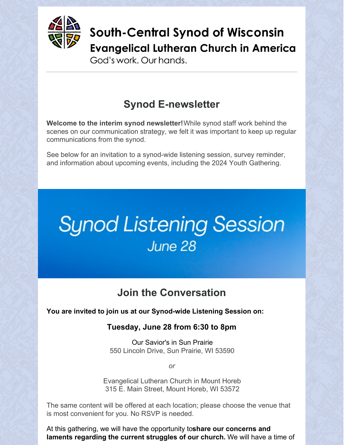

South-Central Synod of Wisconsin **Evangelical Lutheran Church in America** 

God's work, Our hands.

### **Synod E-newsletter**

**Welcome to the interim synod newsletter!**While synod staff work behind the scenes on our communication strategy, we felt it was important to keep up regular communications from the synod.

See below for an invitation to a synod-wide listening session, survey reminder, and information about upcoming events, including the 2024 Youth Gathering.

# **Synod Listening Session** June 28

### **Join the Conversation**

**You are invited to join us at our Synod-wide Listening Session on:**

### **Tuesday, June 28 from 6:30 to 8pm**

Our Savior's in Sun Prairie 550 Lincoln Drive, Sun Prairie, WI 53590

*or*

Evangelical Lutheran Church in Mount Horeb 315 E. Main Street, Mount Horeb, WI 53572

The same content will be offered at each location; please choose the venue that is most convenient for you. No RSVP is needed.

At this gathering, we will have the opportunity to**share our concerns and laments regarding the current struggles of our church.** We will have a time of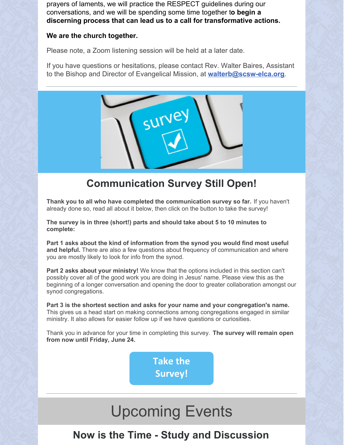prayers of laments, we will practice the RESPECT guidelines during our conversations, and we will be spending some time together t**o begin a discerning process that can lead us to a call for transformative actions.**

#### **We are the church together.**

Please note, a Zoom listening session will be held at a later date.

If you have questions or hesitations, please contact Rev. Walter Baires, Assistant to the Bishop and Director of Evangelical Mission, at **[walterb@scsw-elca.org](mailto:walterb@scsw-elca.org)**.



### **Communication Survey Still Open!**

**Thank you to all who have completed the communication survey so far.** If you haven't already done so, read all about it below, then click on the button to take the survey!

**The survey is in three (short!) parts and should take about 5 to 10 minutes to complete:**

**Part 1 asks about the kind of information from the synod you would find most useful and helpful.** There are also a few questions about frequency of communication and where you are mostly likely to look for info from the synod.

**Part 2 asks about your ministry!** We know that the options included in this section can't possibly cover all of the good work you are doing in Jesus' name. Please view this as the beginning of a longer conversation and opening the door to greater collaboration amongst our synod congregations.

**Part 3 is the shortest section and asks for your name and your congregation's name.** This gives us a head start on making connections among congregations engaged in similar ministry. It also allows for easier follow up if we have questions or curiosities.

Thank you in advance for your time in completing this survey. **The survey will remain open from now until Friday, June 24.**

> **Take the [Survey!](https://forms.gle/yFNWXFdXAU54pfJMA)**

## Upcoming Events

### **Now is the Time - Study and Discussion**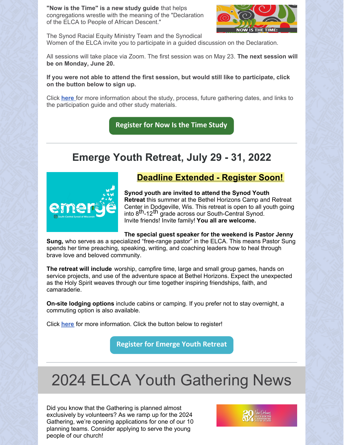**"Now is the Time" is a new study guide** that helps congregations wrestle with the meaning of the "Declaration of the ELCA to People of African Descent."



The Synod Racial Equity Ministry Team and the Synodical Women of the ELCA invite you to participate in a guided discussion on the Declaration.

All sessions will take place via Zoom. The first session was on May 23. **The next session will be on Monday, June 20.**

#### **If you were not able to attend the first session, but would still like to participate, click on the button below to sign up.**

Click **[here](https://conta.cc/3MMFoYc)** for more information about the study, process, future gathering dates, and links to the participation guide and other study materials.

**[Register](https://us02web.zoom.us/meeting/register/tZEpc--qrzgrGNz8Rv0OLTmId25LqbhYSB9T?fbclid=IwAR05Qd8guJPUpJFDuzHGA51-IUEq1zvFCmOMxW0_2EtR-fG4C1R2AcwEXnc) for Now Is the Time Study**

### **Emerge Youth Retreat, July 29 - 31, 2022**



#### **Deadline Extended - Register Soon!**

**Synod youth are invited to attend the Synod Youth Retreat** this summer at the Bethel Horizons Camp and Retreat Center in Dodgeville, Wis. This retreat is open to all youth going eving the Egyptics, the time reason to spent to an year. Invite friends! Invite family! **You all are welcome.**

#### **The special guest speaker for the weekend is Pastor Jenny**

**Sung,** who serves as a specialized "free-range pastor" in the ELCA. This means Pastor Sung spends her time preaching, speaking, writing, and coaching leaders how to heal through brave love and beloved community.

**The retreat will include** worship, campfire time, large and small group games, hands on service projects, and use of the adventure space at Bethel Horizons. Expect the unexpected as the Holy Spirit weaves through our time together inspiring friendships, faith, and camaraderie.

**On-site lodging options** include cabins or camping. If you prefer not to stay overnight, a commuting option is also available.

Click **[here](https://conta.cc/3lODyKo)** for more information. Click the button below to register!

**[Register](http://scsw-elca.org/emerge/) for Emerge Youth Retreat**

## 2024 ELCA Youth Gathering News

Did you know that the Gathering is planned almost exclusively by volunteers? As we ramp up for the 2024 Gathering, we're opening applications for one of our 10 planning teams. Consider applying to serve the young people of our church!